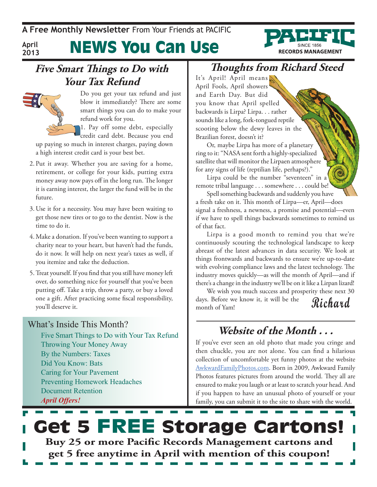**A Free Monthly Newsletter** From Your Friends at Pacific

**April 2013**

News You Can Use

### **Five Smart Things to Do with Your Tax Refund**



Do you get your tax refund and just blow it immediately? There are some smart things you can do to make your refund work for you.

1. Pay off some debt, especially credit card debt. Because you end

up paying so much in interest charges, paying down a high interest credit card is your best bet.

- 2. Put it away. Whether you are saving for a home, retirement, or college for your kids, putting extra money away now pays off in the long run. The longer it is earning interest, the larger the fund will be in the future.
- 3. Use it for a necessity. You may have been waiting to get those new tires or to go to the dentist. Now is the time to do it.
- 4. Make a donation. If you've been wanting to support a charity near to your heart, but haven't had the funds, do it now. It will help on next year's taxes as well, if you itemize and take the deduction.
- 5.Treat yourself. If you find that you still have money left over, do something nice for yourself that you've been putting off. Take a trip, throw a party, or buy a loved one a gift. After practicing some fiscal responsibility, you'll deserve it.

### What's Inside This Month?

Five Smart Things to Do with Your Tax Refund Throwing Your Money Away By the Numbers: Taxes Did You Know: Bats Caring for Your Pavement Preventing Homework Headaches Document Retention *April Offers!*

### **Thoughts from Richard Steed**

**RECORDS MANAGEMENT** 

It's April! April means April Fools, April showers and Earth Day. But did you know that April spelled backwards is Lirpa? Lirpa. . . rather sounds like a long, fork-tongued reptile scooting below the dewy leaves in the Brazilian forest, doesn't it?

Or, maybe Lirpa has more of a planetary ring to it: "NASA sent forth a highly-specialized satellite that will monitor the Lirpaen atmosphere for any signs of life (reptilian life, perhaps?)."

Lirpa could be the number "seventeen" in a remote tribal language . . . somewhere . . . could be!

Spell something backwards and suddenly you have a fresh take on it. This month of Lirpa—er, April—does signal a freshness, a newness, a promise and potential—even if we have to spell things backwards sometimes to remind us of that fact.

Lirpa is a good month to remind you that we're continuously scouting the technological landscape to keep abreast of the latest advances in data security. We look at things frontwards and backwards to ensure we're up-to-date with evolving compliance laws and the latest technology. The industry moves quickly—as will the month of April—and if there's a change in the industry we'll be on it like a Lirpan lizard!

**Richard** We wish you much success and prosperity these next 30 days. Before we know it, it will be the month of Yam!

### **Website of the Month . . .**

If you've ever seen an old photo that made you cringe and then chuckle, you are not alone. You can find a hilarious collection of uncomfortable yet funny photos at the website [AwkwardFamilyPhotos.com.](http://AwkwardFamilyPhotos.com) Born in 2009, Awkward Family Photos features pictures from around the world. They all are ensured to make you laugh or at least to scratch your head. And if you happen to have an unusual photo of yourself or your family, you can submit it to the site to share with the world.

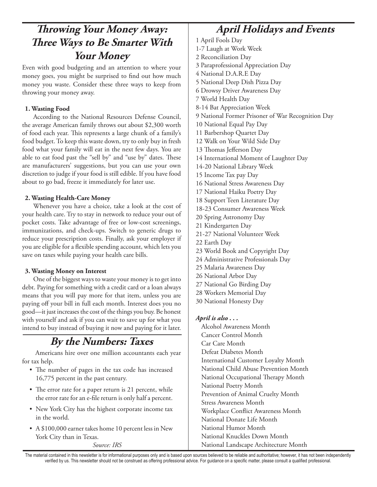### **Throwing Your Money Away: April Holidays and Events Three Ways to Be Smarter With Your Money**

Even with good budgeting and an attention to where your money goes, you might be surprised to find out how much money you waste. Consider these three ways to keep from throwing your money away.

### **1. Wasting Food**

According to the National Resources Defense Council, the average American family throws out about \$2,300 worth of food each year. This represents a large chunk of a family's food budget. To keep this waste down, try to only buy in fresh food what your family will eat in the next few days. You are able to eat food past the "sell by" and "use by" dates. These are manufacturers' suggestions, but you can use your own discretion to judge if your food is still edible. If you have food about to go bad, freeze it immediately for later use.

### **2. Wasting Health-Care Money**

Whenever you have a choice, take a look at the cost of your health care. Try to stay in network to reduce your out of pocket costs. Take advantage of free or low-cost screenings, immunizations, and check-ups. Switch to generic drugs to reduce your prescription costs. Finally, ask your employer if you are eligible for a flexible spending account, which lets you save on taxes while paying your health care bills.

### **3. Wasting Money on Interest**

One of the biggest ways to waste your money is to get into debt. Paying for something with a credit card or a loan always means that you will pay more for that item, unless you are paying off your bill in full each month. Interest does you no good—it just increases the cost of the things you buy. Be honest with yourself and ask if you can wait to save up for what you intend to buy instead of buying it now and paying for it later.

### **By the Numbers: Taxes**

Americans hire over one million accountants each year for tax help.

- The number of pages in the tax code has increased 16,775 percent in the past century.
- The error rate for a paper return is 21 percent, while the error rate for an e-file return is only half a percent.
- New York City has the highest corporate income tax in the world.
- A \$100,000 earner takes home 10 percent less in New York City than in Texas.

*Source: IRS*

1 April Fools Day 1-7 Laugh at Work Week 2 Reconciliation Day 3 Paraprofessional Appreciation Day 4 National D.A.R.E Day 5 National Deep Dish Pizza Day 6 Drowsy Driver Awareness Day 7 World Health Day 8-14 Bat Appreciation Week 9 National Former Prisoner of War Recognition Day 10 National Equal Pay Day 11 Barbershop Quartet Day 12 Walk on Your Wild Side Day 13 Thomas Jefferson Day 14 International Moment of Laughter Day 14-20 National Library Week 15 Income Tax pay Day 16 National Stress Awareness Day 17 National Haiku Poetry Day 18 Support Teen Literature Day 18-23 Consumer Awareness Week 20 Spring Astronomy Day 21 Kindergarten Day 21-27 National Volunteer Week 22 Earth Day 23 World Book and Copyright Day 24 Administrative Professionals Day 25 Malaria Awareness Day 26 National Arbor Day 27 National Go Birding Day 28 Workers Memorial Day 30 National Honesty Day *April is also . . .* Alcohol Awareness Month Cancer Control Month Car Care Month Defeat Diabetes Month International Customer Loyalty Month National Child Abuse Prevention Month National Occupational Therapy Month National Poetry Month Prevention of Animal Cruelty Month Stress Awareness Month Workplace Conflict Awareness Month National Donate Life Month National Humor Month National Knuckles Down Month

National Landscape Architecture Month

The material contained in this newsletter is for informational purposes only and is based upon sources believed to be reliable and authoritative; however, it has not been independently verified by us. This newsletter should not be construed as offering professional advice. For guidance on a specific matter, please consult a qualified professional.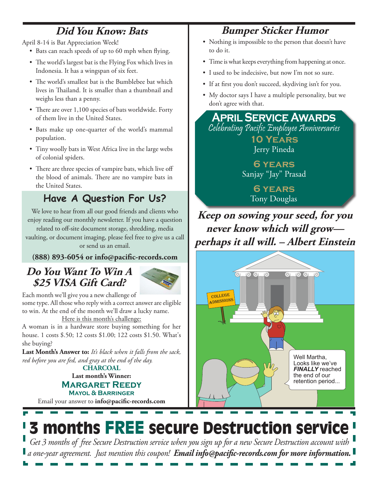### **Did You Know: Bats**

April 8-14 is Bat Appreciation Week!

- Bats can reach speeds of up to 60 mph when flying.
- The world's largest bat is the Flying Fox which lives in Indonesia. It has a wingspan of six feet.
- The world's smallest bat is the Bumblebee bat which lives in Thailand. It is smaller than a thumbnail and weighs less than a penny.
- There are over 1,100 species of bats worldwide. Forty of them live in the United States.
- • Bats make up one-quarter of the world's mammal population.
- Tiny woolly bats in West Africa live in the large webs of colonial spiders.
- There are three species of vampire bats, which live off the blood of animals. There are no vampire bats in the United States.

## **Have A Question For Us?**

We love to hear from all our good friends and clients who enjoy reading our monthly newsletter. If you have a question

related to off-site document storage, shredding, media vaulting, or document imaging, please feel free to give us a call or send us an email.

**(888) 893-6054 or info@pacific-records.com**

### **Do You Want To Win A \$25 VISA Gift Card?**



Each month we'll give you a new challenge of some type. All those who reply with a correct answer are eligible to win. At the end of the month we'll draw a lucky name.

Here is this month's challenge:

A woman is in a hardware store buying something for her house. 1 costs \$.50; 12 costs \$1.00; 122 costs \$1.50. What's she buying?

**Last Month's Answer to:** *It's black when it falls from the sack, red before you are fed, and gray at the end of the day.*

**Last month's Winner: Margaret Reedy Mayol & Barringer CHARCOAL**

Email your answer to **info@pacific-records.com**

## **Bumper Sticker Humor**

- Nothing is impossible to the person that doesn't have to do it.
- Time is what keeps everything from happening at once.
- I used to be indecisive, but now I'm not so sure.
- If at first you don't succeed, skydiving isn't for you.
- My doctor says I have a multiple personality, but we don't agree with that.

**April Service Awards** Celebrating Pacific Employee Anniversaries **10 Years**  Jerry Pineda

> **6 years**  Sanjay "Jay" Prasad

> > **6 years**  Tony Douglas

**Keep on sowing your seed, for you never know which will grow perhaps it all will. – Albert Einstein**



# 3 months FREE secure Destruction service

*Get 3 months of free Secure Destruction service when you sign up for a new Secure Destruction account with a one-year agreement. Just mention this coupon! Email info@pacific-records.com for more information.*